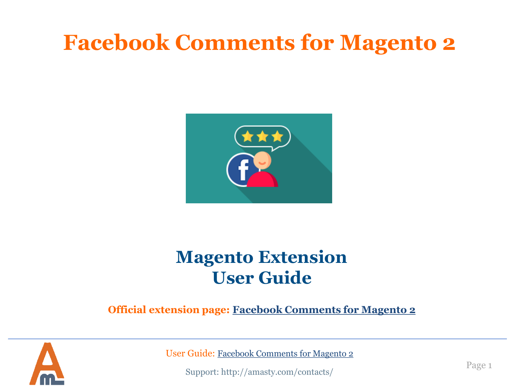# **Facebook Comments for Magento 2**



## **Magento Extension User Guide**

### **Official extension page: [Facebook Comments for Magento](https://amasty.com/facebook-comments-for-magento-2.html) [2](https://amasty.com/facebook-comments-for-magento-2.html)**



User Guide: [Facebook Comments for Magento](https://amasty.com/facebook-comments-for-magento-2.html) [2](https://amasty.com/facebook-comments-for-magento-2.html)

Support: http://amasty.com/contacts/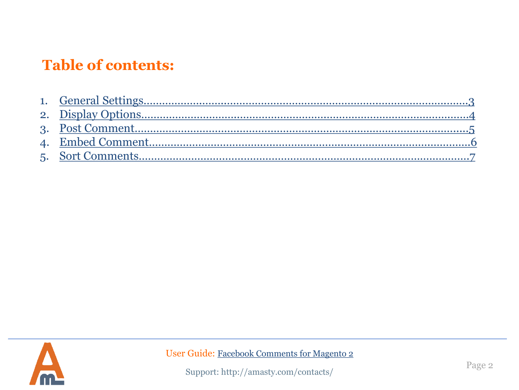### **Table of contents:**

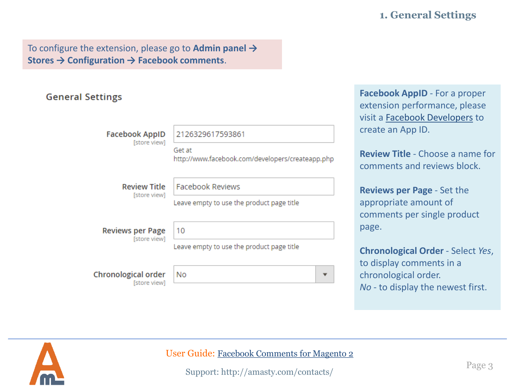#### **1. General Settings**

To configure the extension, please go to **Admin panel → Stores → Configuration → Facebook comments**.

#### **General Settings**

**Facebook AppID Istore view1** 

2126329617593861

Get at http://www.facebook.com/developers/createapp.php

**Review Title** [store view] **Facebook Reviews** 

Leave empty to use the product page title

| <b>Reviews per Page</b> |                                   |
|-------------------------|-----------------------------------|
|                         | Production of the Contract of the |

[store view]

**Chronological order** [store view]

10 Leave empty to use the product page title

No  $\overline{\mathbf{v}}$ 

**Facebook AppID** - For a proper extension performance, please visit a [Facebook Developers](https://developers.facebook.com/docs/apps/register#create-app) to create an App ID.

**Review Title** - Choose a name for comments and reviews block.

**Reviews per Page** - Set the appropriate amount of comments per single product page.

**Chronological Order** - Select *Yes*, to display comments in a chronological order. *No* - to display the newest first.

<span id="page-2-0"></span>

User Guide: [Facebook Comments for Magento](https://amasty.com/facebook-comments-for-magento-2.html) [2](https://amasty.com/facebook-comments-for-magento-2.html)

Support: http://amasty.com/contacts/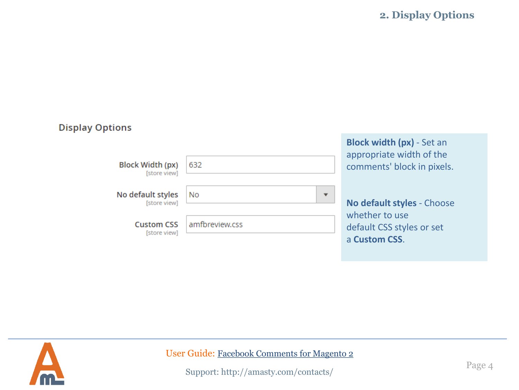**2. Display Options**

| <b>Display Options</b>                  |                                |                                                                                            |
|-----------------------------------------|--------------------------------|--------------------------------------------------------------------------------------------|
| <b>Block Width (px)</b><br>[store view] | 632                            | <b>Block width (px)</b> - Set an<br>appropriate width of the<br>comments' block in pixels. |
| No default styles<br>[store view]       | No<br>$\overline{\phantom{a}}$ | No default styles - Choose                                                                 |
| <b>Custom CSS</b><br>[store view]       | amfbreview.css                 | whether to use<br>default CSS styles or set<br>a Custom CSS.                               |

<span id="page-3-0"></span>

User Guide: [Facebook Comments for Magento](https://amasty.com/facebook-comments-for-magento-2.html) [2](https://amasty.com/facebook-comments-for-magento-2.html)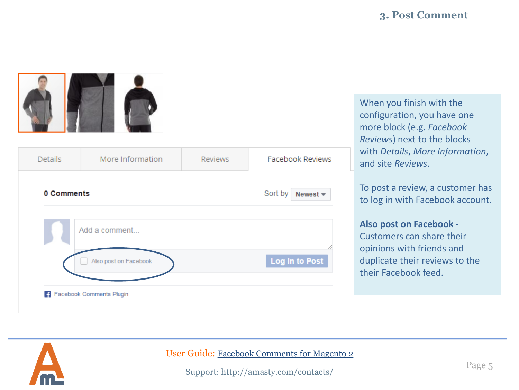

| <b>Details</b> | More Information      | <b>Reviews</b> | <b>Facebook Reviews</b>     |
|----------------|-----------------------|----------------|-----------------------------|
| 0 Comments     |                       |                | Sort by<br>Newest $\star$   |
|                | Add a comment         |                |                             |
|                | Also post on Facebook |                | 11<br><b>Log In to Post</b> |

When you finish with the configuration, you have one more block (e.g. *Facebook Reviews*) next to the blocks with *Details*, *More Information*, and site *Reviews*.

To post a review, a customer has to log in with Facebook account.

#### **Also post on Facebook** -

Customers can share their opinions with friends and duplicate their reviews to the their Facebook feed.

<span id="page-4-0"></span>

#### User Guide: [Facebook Comments for Magento](https://amasty.com/facebook-comments-for-magento-2.html) [2](https://amasty.com/facebook-comments-for-magento-2.html)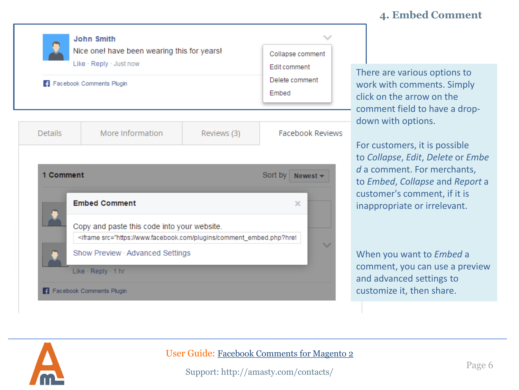#### **4. Embed Comment**

|                | <b>John Smith</b><br>Nice one! have been wearing this for years!<br>Like · Reply · Just now<br>Facebook Comments Plugin                                 |             | Collapse comment<br><b>Edit comment</b><br>Delete comment<br>Embed |  |
|----------------|---------------------------------------------------------------------------------------------------------------------------------------------------------|-------------|--------------------------------------------------------------------|--|
| <b>Details</b> | More Information                                                                                                                                        | Reviews (3) | <b>Facebook Reviews</b>                                            |  |
| 1 Comment      | <b>Embed Comment</b>                                                                                                                                    |             | Sort by<br>Newest $\blacktriangledown$<br>$\times$                 |  |
|                | Copy and paste this code into your website.<br><iframe src="https://www.facebook.com/plugins/comment_embed.php?href<br>Show Preview · Advanced Settings |             |                                                                    |  |
|                | Like · Reply · 1 hr<br><b>F</b> Facebook Comments Plugin                                                                                                |             |                                                                    |  |

There are various options to work with comments. Simply click on the arrow on the - comment field to have a dropdown with options.

For customers, it is possible to *Collapse*, *Edit*, *Delete* or *Embe d* a comment. For merchants, to *Embed*, *Collapse* and *Report* a customer's comment, if it is inappropriate or irrelevant.

When you want to *Embed* a comment, you can use a preview and advanced settings to customize it, then share.

<span id="page-5-0"></span>

User Guide: [Facebook Comments for Magento](https://amasty.com/facebook-comments-for-magento-2.html) [2](https://amasty.com/facebook-comments-for-magento-2.html)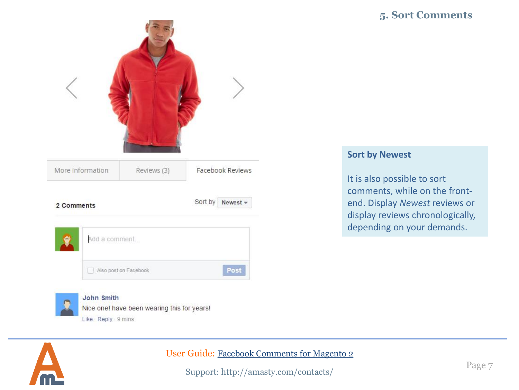#### **5. Sort Comments**

| More Information | Reviews (3)           |         | Facebook Reviews |  |
|------------------|-----------------------|---------|------------------|--|
| 2 Comments       |                       | Sort by | Newest -         |  |
| Add a comment    |                       |         |                  |  |
|                  | Also post on Facebook |         | Post             |  |

<span id="page-6-0"></span>

#### John Smith

Nice one! have been wearing this for years! Like - Reply - 9 mins

#### User Guide: [Facebook Comments for Magento](https://amasty.com/facebook-comments-for-magento-2.html) [2](https://amasty.com/facebook-comments-for-magento-2.html)

Support: http://amasty.com/contacts/

#### **Sort by Newest**

It is also possible to sort comments, while on the frontend. Display *Newest* reviews or display reviews chronologically, depending on your demands.